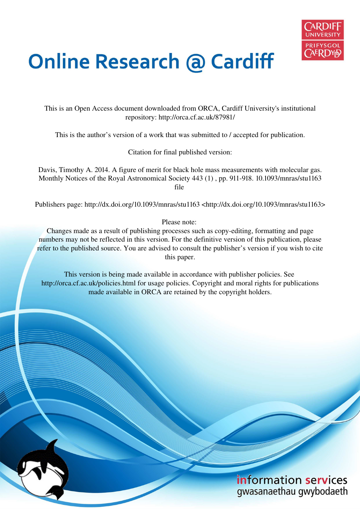

# **Online Research @ Cardiff**

This is an Open Access document downloaded from ORCA, Cardiff University's institutional repository: http://orca.cf.ac.uk/87981/

This is the author's version of a work that was submitted to / accepted for publication.

Citation for final published version:

Davis, Timothy A. 2014. A figure of merit for black hole mass measurements with molecular gas. Monthly Notices of the Royal Astronomical Society 443 (1) , pp. 911-918. 10.1093/mnras/stu1163 file

Publishers page: http://dx.doi.org/10.1093/mnras/stu1163 <http://dx.doi.org/10.1093/mnras/stu1163>

Please note:

Changes made as a result of publishing processes such as copy-editing, formatting and page numbers may not be reflected in this version. For the definitive version of this publication, please refer to the published source. You are advised to consult the publisher's version if you wish to cite this paper.

This version is being made available in accordance with publisher policies. See http://orca.cf.ac.uk/policies.html for usage policies. Copyright and moral rights for publications made available in ORCA are retained by the copyright holders.

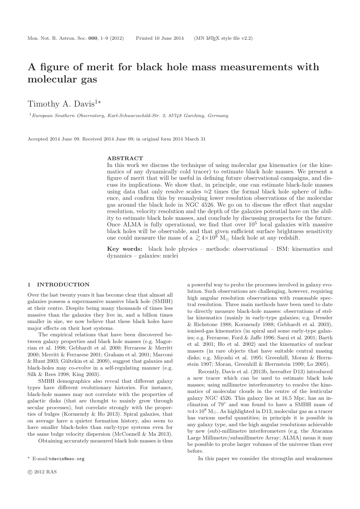# A figure of merit for black hole mass measurements with molecular gas

Timothy A. Davis<sup>1\*</sup>

<sup>1</sup> European Southern Observatory, Karl-Schwarzschild-Str. 2, 85748 Garching, Germany

Accepted 2014 June 09. Received 2014 June 09; in original form 2014 March 31

# **ABSTRACT**

In this work we discuss the technique of using molecular gas kinematics (or the kinematics of any dynamically cold tracer) to estimate black hole masses. We present a figure of merit that will be useful in defining future observational campaigns, and discuss its implications. We show that, in principle, one can estimate black-hole masses using data that only resolve scales  $\approx$  2 times the formal black hole sphere of influence, and confirm this by reanalysing lower resolution observations of the molecular gas around the black hole in NGC 4526. We go on to discuss the effect that angular resolution, velocity resolution and the depth of the galaxies potential have on the ability to estimate black hole masses, and conclude by discussing prospects for the future. Once ALMA is fully operational, we find that over  $10^5$  local galaxies with massive black holes will be observable, and that given sufficient surface brightness sensitivity one could measure the mass of a  $\geq 4 \times 10^8$  M<sub>☉</sub> black hole at any redshift.

Key words: black hole physics – methods: observational – ISM: kinematics and dynamics – galaxies: nuclei

#### 1 INTRODUCTION

Over the last twenty years it has become clear that almost all galaxies possess a supermassive massive black hole (SMBH) at their centre. Despite being many thousands of times less massive than the galaxies they live in, and a billion times smaller in size, we now believe that these black holes have major effects on their host systems.

The empirical relations that have been discovered between galaxy properties and black hole masses (e.g. Magorrian et al. 1998; Gebhardt et al. 2000; Ferrarese & Merritt 2000; Merritt & Ferrarese 2001; Graham et al. 2001; Marconi  $&$  Hunt 2003; Gültekin et al. 2009), suggest that galaxies and black-holes may co-evolve in a self-regulating manner (e.g. Silk & Rees 1998; King 2003).

SMBH demographics also reveal that different galaxy types have different evolutionary histories. For instance, black-hole masses may not correlate with the properties of galactic disks (that are thought to mainly grow through secular processes), but correlate strongly with the properties of bulges (Kormendy & Ho 2013). Spiral galaxies, that on average have a quieter formation history, also seem to have smaller black-holes than early-type systems even for the same bulge velocity dispersion (McConnell & Ma 2013).

Obtaining accurately measured black hole masses is thus

a powerful way to probe the processes involved in galaxy evolution. Such observations are challenging, however, requiring high angular resolution observations with reasonable spectral resolution. Three main methods have been used to date to directly measure black-hole masses: observations of stellar kinematics (mainly in early-type galaxies; e.g. Dressler & Richstone 1988; Kormendy 1988; Gebhardt et al. 2003), ionised-gas kinematics (in spiral and some early-type galaxies; e.g. Ferrarese, Ford & Jaffe 1996; Sarzi et al. 2001; Barth et al. 2001; Ho et al. 2002) and the kinematics of nuclear masers (in rare objects that have suitable central masing disks; e.g. Miyoshi et al. 1995; Greenhill, Moran & Herrnstein 1997; Moran, Greenhill & Herrnstein 1999; Lo 2005).

Recently, Davis et al. (2013b, hereafter D13) introduced a new tracer which can be used to estimate black hole masses; using millimetre interferometry to resolve the kinematics of molecular clouds in the centre of the lenticular galaxy NGC 4526. This galaxy lies at 16.5 Mpc, has an inclination of 79◦ and was found to have a SMBH mass of  $\approx$ 4×10<sup>8</sup> M<sub>☉</sub>. As highlighted in D13, molecular gas as a tracer has various useful quantities; in principle it is possible in any galaxy type, and the high angular resolutions achievable by new (sub)-millimetre interferometers (e.g. the Atacama Large Millimetre/submillimetre Array; ALMA) mean it may be possible to probe larger volumes of the universe than ever before.

In this paper we consider the strengths and weaknesses

<sup>⋆</sup> E-mail:tdavis@eso.org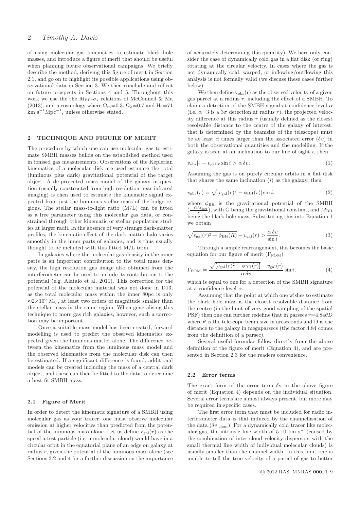of using molecular gas kinematics to estimate black hole masses, and introduce a figure of merit that should be useful when planning future observational campaigns. We briefly describe the method, deriving this figure of merit in Section 2.1, and go on to highlight its possible applications using observational data in Section 3. We then conclude and reflect on future prospects in Sections 4 and 5. Throughout this work we use the the  $M_{\text{BH}}-\sigma_*$  relations of McConnell & Ma (2013), and a cosmology where  $\Omega_m=0.3$ ,  $\Omega_{\lambda}=0.7$  and  $H_0=71$  $km s<sup>-1</sup>Mpc<sup>-1</sup>$ , unless otherwise stated.

#### 2 TECHNIQUE AND FIGURE OF MERIT

The procedure by which one can use molecular gas to estimate SMBH masses builds on the established method used in ionised gas measurements. Observations of the Keplerian kinematics of a molecular disk are used estimate the total (luminous plus dark) gravitational potential of the target object. A de-projected mass model of the galaxy in question (usually constructed from high resolution near-infrared imaging) is then used to estimate the kinematic signal expected from just the luminous stellar mass of the bulge regions. The stellar mass-to-light ratio  $(M/L)$  can be fitted as a free parameter using this molecular gas data, or constrained through other kinematic or stellar population studies at larger radii. In the absence of very strange dark-matter profiles, the kinematic effect of the dark matter halo varies smoothly in the inner parts of galaxies, and is thus usually thought to be included with this fitted M/L term.

In galaxies where the molecular gas density in the inner parts is an important contribution to the total mass density, the high resolution gas image also obtained from the interferometer can be used to include its contribution to the potential (e.g. Alatalo et al. 2011). This correction for the potential of the molecular material was not done in D13, as the total molecular mass within the inner 80pc is only  $≈2×10<sup>6</sup> M<sub>⊙</sub>$ , at least two orders of magnitude smaller than the stellar mass in the same region. When generalising this technique to more gas rich galaxies, however, such a correction may be important.

Once a suitable mass model has been created, forward modelling is used to predict the observed kinematics expected given the luminous matter alone. The difference between the kinematics from the luminous mass model and the observed kinematics from the molecular disk can then be estimated. If a significant difference is found, additional models can be created including the mass of a central dark object, and these can then be fitted to the data to determine a best fit SMBH mass.

#### 2.1 Figure of Merit

In order to detect the kinematic signature of a SMBH using molecular gas as your tracer, one must observe molecular emission at higher velocities than predicted from the potential of the luminous mass alone. Let us define  $v_{gal}(r)$  as the speed a test particle (i.e. a molecular cloud) would have in a circular orbit in the equatorial plane of an edge on galaxy at radius  $r$ , given the potential of the luminous mass alone (see Sections 3.2 and 4 for a further discussion on the importance of accurately determining this quantity). We here only consider the case of dynamically cold gas in a flat disk (or ring) rotating at the circular velocity. In cases where the gas is not dynamically cold, warped, or inflowing/outflowing this analysis is not formally valid (we discuss these cases further below).

We then define  $v_{obs}(r)$  as the observed velocity of a given gas parcel at a radius  $r$ , including the effect of a SMBH. To claim a detection of the SMBH signal at confidence level  $\alpha$ (i.e.  $\alpha=3$  is a  $3\sigma$  detection at radius r), the projected velocity difference at this radius  $r$  (usually defined as the closest resolvable distance to the centre of the galaxy of interest, that is determined by the beamsize of the telescope) must be at least  $\alpha$  times larger than the associated error  $(\delta v)$  in both the observational quantities and the modelling. If the galaxy is seen at an inclination to our line of sight  $i$ , then

$$
v_{\text{obs}}|_{r} - v_{\text{gal}}|_{r} \sin i > \alpha \, \delta v. \tag{1}
$$

Assuming the gas is on purely circular orbits in a flat disk that shares the same inclination  $(i)$  as the galaxy, then

$$
v_{\text{obs}}(r) = \sqrt{\left[v_{\text{gal}}(r)^2 - \phi_{\text{BH}}(r)\right]} \sin i,\tag{2}
$$

where  $\phi_{\text{BH}}$  is the gravitational potential of the SMBH  $\left(\frac{-GM_{\rm BH}}{r}\right)$ , with G being the gravitational constant, and  $M_{\rm BH}$ being the black hole mass. Substituting this into Equation 1 we obtain

$$
\sqrt{v_{\rm gal}(r)^2 - \phi_{\rm BH}(R)} - v_{\rm gal}(r) > \frac{\alpha \,\delta v}{\sin i}.\tag{3}
$$

Through a simple rearrangement, this becomes the basic equation for our figure of merit  $(\Gamma_{\text{FOM}})$ 

$$
\Gamma_{\text{FOM}} = \frac{\sqrt{[v_{\text{gal}}(r)^2 - \phi_{\text{BH}}(r)]} - v_{\text{gal}}(r)}{\alpha \,\delta v} \sin i,\tag{4}
$$

which is equal to one for a detection of the SMBH signature at a confidence level  $\alpha$ .

Assuming that the point at which one wishes to estimate the black hole mass is the closest resolvable distance from the centre (in the limit of very good sampling of the spatial PSF) then one can further redefine that in parsecs  $r=4.84\theta D$ where  $\theta$  is the telescope beam size in arcseconds and D is the distance to the galaxy in megaparsecs (the factor 4.84 comes from the definition of a parsec).

Several useful formulae follow directly from the above definition of the figure of merit (Equation 4), and are presented in Section 2.3 for the readers convenience.

# 2.2 Error terms

The exact form of the error term  $\delta y$  in the above figure of merit (Equation 4) depends on the individual situation. Several error terms are almost always present, but more may be required in specific cases.

The first error term that must be included for radio interferometer data is that induced by the channellisation of the data  $(\delta v|_{\text{chan}})$ . For a dynamically cold tracer like molecular gas, the intrinsic line width of 5-10 km s<sup>-1</sup>(caused by the combination of inter-cloud velocity dispersion with the small thermal line width of individual molecular clouds) is usually smaller than the channel width. In this limit one is unable to tell the true velocity of a parcel of gas to better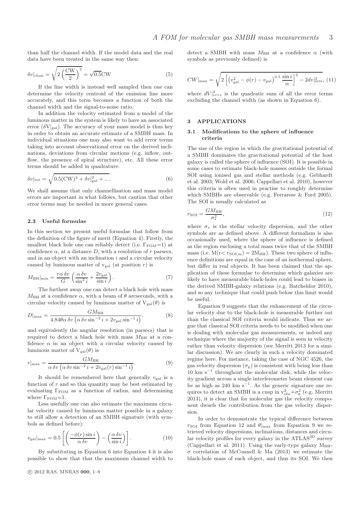than half the channel width. If the model data and the real data have been treated in the same way then:

$$
\delta v|_{\text{chan}} = \sqrt{2\left(\frac{\text{CW}}{2}\right)^2} = \sqrt{0.5} \text{CW}
$$
 (5)

If the line width is instead well sampled then one can determine the velocity centroid of the emission line more accurately, and this term becomes a function of both the channel width and the signal-to-noise ratio.

In addition the velocity estimated from a model of the luminous matter in the system is likely to have an associated error  $(\delta V_{\text{gal}})$ . The accuracy of your mass model is thus key in order to obtain an accurate estimate of a SMBH mass. In individual situations one may also want to add error terms taking into account observational error on the derived inclinations, deviations from circular motions (e.g. inflow, outflow, the presence of spiral structure), etc. All these error terms should be added in quadrature:

$$
\delta v|_{\text{tot}} = \sqrt{0.5(\text{CW})^2 + \delta v|_{\text{gal}}^2 + \dots} \tag{6}
$$

We shall assume that only channellisation and mass model errors are important in what follows, but caution that other error terms may be needed in more general cases.

# 2.3 Useful formulae

In this section we present useful formulae that follow from the definition of the figure of merit (Equation 4). Firstly, the smallest black hole one can reliably detect (i.e.  $\Gamma_{\text{FOM}}=1$ ) at confidence  $\alpha$ , at a distance D, with a resolution of r parsecs, and in an object with an inclination  $i$  and a circular velocity caused by luminous matter of  $v_{gal}$  (at position r) is

$$
M_{\rm BH}|_{\rm min} = \frac{r\alpha \,\delta v}{G} \left(\frac{\alpha \,\delta v}{\sin^2 i} + \frac{2v_{\rm gal}}{\sin i}\right). \tag{7}
$$

The furthest away one can detect a black hole with mass  $M_{\rm BH}$  at a confidence  $\alpha$ , with a beam of  $\theta$  arcseconds, with a circular velocity caused by luminous matter of  $V_{gal}(\theta)$  is

$$
D|_{\text{max}} = \frac{GM_{\text{BH}}}{4.84\theta\alpha \,\delta v \left(\alpha \,\delta v \sin^{-2} i + 2v_{\text{gal}} \sin^{-1} i\right)},\tag{8}
$$

and equivalently the angular resolution (in parsecs) that is required to detect a black hole with mass  $M_{BH}$  at a confidence  $\alpha$  in an object with a circular velocity caused by luminous matter of  $V_{gal}(\theta)$  is

$$
r|_{\text{max}} = \frac{GM_{\text{BH}}}{\alpha \,\delta v \left(\alpha \,\delta v \sin^{-2} i + 2v_{\text{gal}}(r) \sin^{-1} i\right)}.
$$
\n(9)

It should be remembered here that generally  $v_{\text{gal}}$  is a function of  $r$  and so this quantity may be best estimated by evaluating  $\Gamma_{\text{FOM}}$  as a function of radius, and determining where  $\Gamma_{\text{FOM}}=1$ .

Less usefully one can also estimate the maximum circular velocity caused by luminous matter possible in a galaxy to still allow a detection of an SMBH signature (with symbols as defined before):

$$
v_{\text{gal}}|_{\text{max}} = 0.5 \left[ \left( \frac{-\phi(r)\sin i}{\alpha \,\delta v} \right) - \left( \frac{\alpha \,\delta v}{\sin i} \right) \right]. \tag{10}
$$

By substituting in Equation 6 into Equation 4 it is also possible to show that that the maximum channel width to

c 2012 RAS, MNRAS 000, 1–9

detect a SMBH with mass  $M_{\text{BH}}$  at a confidence  $\alpha$  (with symbols as previously defined) is

$$
CW|_{\max} = \sqrt{2\left[ \left( v_{\rm gal}^2 - \phi(r) - v_{\rm gal} \right)^{0.5} \frac{\sin i}{\alpha} \right]^2 - 2dv|_{\rm errs}^2}, \tag{11}
$$

where  $dV|_{errs}^2$  is the quadratic sum of all the error terms excluding the channel width (as shown in Equation 6).

# 3 APPLICATIONS

#### 3.1 Modifications to the sphere of influence criteria

The size of the region in which the gravitational potential of a SMBH dominates the gravitational potential of the host galaxy is called the sphere of influence (SOI). It is possible in some cases to estimate black-hole masses outside the formal SOI using ionised gas and stellar methods (e.g. Gebhardt et al. 2003; Wold et al. 2006; Cappellari et al. 2010), however this criteria is often used in practise to roughly determine which SMBHs are observable (e.g. Ferrarese & Ford 2005). The SOI is usually calculated as

$$
r_{\text{SOI}} = \frac{GM_{\text{BH}}}{\sigma_*^2},\tag{12}
$$

where  $\sigma_*$  is the stellar velocity dispersion, and the other symbols are as defined above. A different formalism is also occasionally used, where the sphere of influence is defined as the region enclosing a total mass twice that of the SMBH mass (i.e.  $M(r < r<sub>SOLm</sub>) = 2M<sub>BH</sub>$ ). These two sphere of influence definitions are equal in the case of an isothermal sphere, but differ in real objects. It has been claimed that the application of these formulae to determine which galaxies are likely to have measurable black-holes could lead to biases in the derived SMBH-galaxy relations (e.g. Batcheldor 2010), and so any technique that could push below this limit would be useful.

Equation 9 suggests that the enhancement of the circular velocity due to the black-hole is measurable further out than the classical SOI criteria would indicate. Thus we argue that classical SOI criteria needs to be modified when one is dealing with molecular gas measurements, or indeed any technique where the majority of the signal is seen in velocity rather than velocity dispersion (see Merritt 2013 for a similar discussion). We are clearly in such a velocity dominated regime here. For instance, taking the case of NGC 4526, the gas velocity dispersion  $(\sigma_g)$  is consistent with being less than 10 km s<sup>−</sup><sup>1</sup> throughout the molecular disk, while the velocity gradient across a single interferometer beam element can be as high as  $240 \text{ km s}^{-1}$ . As the generic signature one requires to detect an SMBH is a cusp in  $v_{\text{obs}}^2 + \sigma_{\text{g}}^2$  (e.g. Merritt 2013), it is clear that for molecular gas the velocity component dwarfs the contribution from the gas velocity dispersion.

In order to demonstrate the typical difference between  $r_{\text{SOI}}$  from Equation 12 and  $\theta|_{\text{max}}$  from Equation 9 we retrieved velocity dispersions, inclinations, distances and circular velocity profiles for every galaxy in the ATLAS<sup>3D</sup> survey (Cappellari et al. 2011). Using the early-type galaxy  $M_{BH}$ σ correlation of McConnell & Ma (2013) we estimate the black-hole mass of each object, and thus its SOI. We then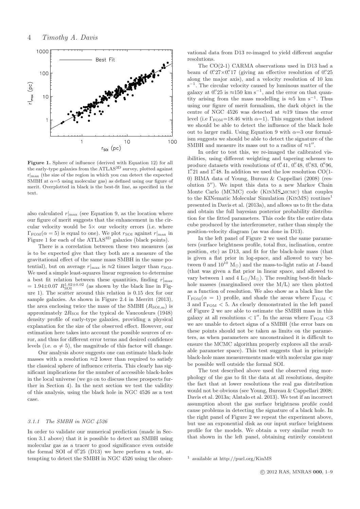

Figure 1. Sphere of influence (derived with Equation 12) for all the early-type galaxies from the ATLAS3D survey, plotted against  $r|_{\text{max}}$  (the size of the region in which you can detect the expected SMBH at  $\alpha=5$  using molecular gas) as defined using our figure of merit. Overplotted in black is the best-fit line, as specified in the text.

also calculated  $r|_{\text{max}}$  (see Equation 9, as the location where our figure of merit suggests that the enhancement in the circular velocity would be 5× our velocity errors (i.e. where  $\Gamma_{\text{FOM}}(\alpha=5)$  is equal to one). We plot  $r_{\text{SOI}}$  against  $r|_{\text{max}}$  in Figure 1 for each of the ATLAS<sup>3D</sup> galaxies (black points).

There is a correlation between these two measures (as is to be expected give that they both are a measure of the gravitational effect of the same mass SMBH in the same potential), but on average  $r|_{\text{max}}$  is  $\approx 2$  times larger than  $r_{\text{SOI}}$ . We used a simple least-squares linear regression to determine a best fit relation between these quantities, finding  $r|_{\text{max}}$  $= 1.94 \pm 0.07 R_{\text{SOI}}^{1.02 \pm 0.02}$  (as shown by the black line in Figure 1). The scatter around this relation is 0.15 dex for our sample galaxies. As shown in Figure 2.4 in Merritt (2013), the area enclosing twice the mass of the SMBH  $(R_{\text{SOI},m})$  is approximately  $2R_{\text{SOI}}$  for the typical de Vaucouleurs (1948) density profile of early-type galaxies, providing a physical explanation for the size of the observed effect. However, our estimation here takes into account the possible sources of error, and thus for different error terms and desired confidence levels (i.e.  $\alpha \neq 5$ ), the magnitude of this factor will change.

Our analysis above suggests one can estimate black-hole masses with a resolution  $\approx$ 2 lower than required to satisfy the classical sphere of influence criteria. This clearly has significant implications for the number of accessible black-holes in the local universe (we go on to discuss these prospects further in Section 4). In the next section we test the validity of this analysis, using the black hole in NGC 4526 as a test case.

## 3.1.1 The SMBH in NGC 4526

In order to validate our numerical prediction (made in Section 3.1 above) that it is possible to detect an SMBH using molecular gas as a tracer to good significance even outside the formal SOI of  $0.^{\prime\prime}25$  (D13) we here perform a test, attempting to detect the SMBH in NGC 4526 using the observational data from D13 re-imaged to yield different angular resolutions.

The CO(2-1) CARMA observations used in D13 had a beam of  $0.^{\prime\prime}27\times0.^{\prime\prime}17$  (giving an effective resolution of  $0.^{\prime\prime}25$ along the major axis), and a velocity resolution of 10 km s<sup>-1</sup>. The circular velocity caused by luminous matter of the galaxy at  $0.^{\prime\prime}25$  is  $\approx$ 150 km s<sup>-1</sup>, and the error on that quantity arising from the mass modelling is  $\approx 5$  km s<sup>-1</sup>. Thus using our figure of merit formalism, the dark object in the centre of NGC 4526 was detected at  $\approx$ 19 times the error level (i.e  $\Gamma_{\text{FOM}} = 18.46$  with  $\alpha = 1$ ). This suggests that indeed we should be able to detect the influence of the black hole out to larger radii. Using Equation 9 with  $\alpha=3$  our formalism suggests we should be able to detect the signature of the SMBH and measure its mass out to a radius of  $\approx 1^{\prime\prime}$ .

In order to test this, we re-imaged the calibrated visibilities, using different weighting and tapering schemes to produce datasets with resolutions of  $0.^{\prime\prime}41, 0.^{\prime\prime}48, 0.^{\prime\prime}83, 0.^{\prime\prime}96,$  $1\rlap.{''}21$  and  $1\rlap.{''}48$ . In addition we used the low resolution CO(1-0) BIMA data of Young, Bureau & Cappellari (2008) (resolution 5′′). We input this data to a new Markov Chain Monte Carlo (MCMC) code (KINMS\_MCMC) that couples to the KINematic Molecular Simulation (KinMS) routines<sup>1</sup> presented in Davis et al. (2013a), and allows us to fit the data and obtain the full bayesian posterior probability distribution for the fitted parameters. This code fits the entire data cube produced by the interferometer, rather than simply the position-velocity diagram (as was done in D13).

In the left panel of Figure 2 we used the same parameters (surface brightness profile, total flux, inclination, centre position, etc) as D13, and fit for the black-hole mass (that is given a flat prior in log-space, and allowed to vary between 0 and  $10^{10}$  M<sub>☉</sub>) and the mass-to-light ratio at I-band (that was given a flat prior in linear space, and allowed to vary between 1 and 4  $L_{\odot}/M_{\odot}$ ). The resulting best-fit blackhole masses (marginalised over the M/L) are then plotted as a function of resolution. We also show as a black line the  $\Gamma_{\text{FOM}}(\alpha = 1)$  profile, and shade the areas where  $\Gamma_{\text{FOM}}$  < 3 and  $\Gamma_{\text{FOM}}$  < 5. As clearly demonstrated in the left panel of Figure 2 we are able to estimate the SMBH mass in this galaxy at all resolutions  $\langle 1''$ . In the areas where  $\Gamma_{\text{FOM}} \langle 3 \rangle$ we are unable to detect signs of a SMBH (the error bars on these points should not be taken as limits on the parameters, as when parameters are unconstrained it is difficult to ensure the MCMC algorithm properly explores all the available parameter space). This test suggests that in principle black-hole mass measurements made with molecular gas may be possible well outside the formal SOI.

The test described above used the observed ring morphology of the gas to fit the data at all resolutions, despite the fact that at lower resolutions the real gas distribution would not be obvious (see Young, Bureau & Cappellari 2008; Davis et al. 2013a; Alatalo et al. 2013). We test if an incorrect assumption about the gas surface brightness profile could cause problems in detecting the signature of a black hole. In the right panel of Figure 2 we repeat the experiment above, but use an exponential disk as our input surface brightness profile for the models. We obtain a very similar result to that shown in the left panel, obtaining entirely consistent

<sup>1</sup> available at http://purl.org/KinMS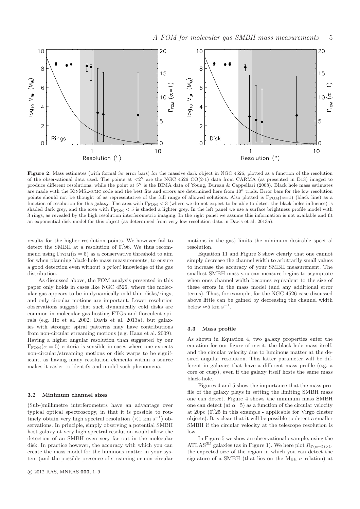

Figure 2. Mass estimates (with formal  $3\sigma$  error bars) for the massive dark object in NGC 4526, plotted as a function of the resolution of the observational data used. The points at  $\langle 2'' \rangle$  are the NGC 4526 CO(2-1) data from CARMA (as presented in D13) imaged to produce different resolutions, while the point at 5′′ is the BIMA data of Young, Bureau & Cappellari (2008). Black hole mass estimates are made with the KINMS\_MCMC code and the best fits and errors are determined here from  $10^5$  trials. Error bars for the low resolution points should not be thought of as representative of the full range of allowed solutions. Also plotted is  $\Gamma_{\text{FOM}}(\alpha=1)$  (black line) as a function of resolution for this galaxy. The area with  $\Gamma_{\text{FOM}} < 3$  (where we do not expect to be able to detect the black holes influence) is shaded dark grey, and the area with  $\Gamma_{\text{FOM}}$  < 5 is shaded a lighter grey. In the left panel we use a surface brightness profile model with 3 rings, as revealed by the high resolution interferometric imaging. In the right panel we assume this information is not available and fit an exponential disk model for this object (as determined from very low resolution data in Davis et al. 2013a).

results for the higher resolution points. We however fail to detect the SMBH at a resolution of 0.'96. We thus recommend using  $\Gamma_{\text{FOM}}(\alpha=5)$  as a conservative threshold to aim for when planning black-hole mass measurements, to ensure a good detection even without a priori knowledge of the gas distribution.

As discussed above, the FOM analysis presented in this paper only holds in cases like NGC 4526, where the molecular gas appears to be in dynamically cold thin disks/rings, and only circular motions are important. Lower resolution observations suggest that such dynamically cold disks are common in molecular gas hosting ETGs and flocculent spirals (e.g. Ho et al. 2002; Davis et al. 2013a), but galaxies with stronger spiral patterns may have contributions from non-circular streaming motions (e.g. Haan et al. 2009). Having a higher angular resolution than suggested by our  $\Gamma_{\text{FOM}}(\alpha=5)$  criteria is sensible in cases where one expects non-circular/streaming motions or disk warps to be significant, as having many resolution elements within a source makes it easier to identify and model such phenomena.

#### 3.2 Minimum channel sizes

(Sub-)millimetre interferometers have an advantage over typical optical spectroscopy, in that it is possible to routinely obtain very high spectral resolution  $(<1 \text{ km s}^{-1})$  observations. In principle, simply observing a potential SMBH host galaxy at very high spectral resolution would allow the detection of an SMBH even very far out in the molecular disk. In practice however, the accuracy with which you can create the mass model for the luminous matter in your system (and the possible presence of streaming or non-circular motions in the gas) limits the minimum desirable spectral resolution.

Equation 11 and Figure 3 show clearly that one cannot simply decrease the channel width to arbitrarily small values to increase the accuracy of your SMBH measurement. The smallest SMBH mass you can measure begins to asymptote when ones channel width becomes equivalent to the size of these errors in the mass model (and any additional error terms). Thus, for example, for the NGC 4526 case discussed above little can be gained by decreasing the channel width below  $\approx 5$  km s<sup>-1</sup>.

#### 3.3 Mass profile

As shown in Equation 4, two galaxy properties enter the equation for our figure of merit, the black-hole mass itself, and the circular velocity due to luminous matter at the desired angular resolution. This latter parameter will be different in galaxies that have a different mass profile (e.g. a core or cusp), even if the galaxy itself hosts the same mass black-hole.

Figures 4 and 5 show the importance that the mass profile of the galaxy plays in setting the limiting SMBH mass one can detect. Figure 4 shows the minimum mass SMBH one can detect (at  $\alpha=5$ ) as a function of the circular velocity at 20pc (0.'25 in this example - applicable for Virgo cluster objects). It is clear that it will be possible to detect a smaller SMBH if the circular velocity at the telescope resolution is low.

In Figure 5 we show an observational example, using the ATLAS<sup>3D</sup> galaxies (as in Figure 1). We here plot  $R_{\Gamma(\alpha=5)>1}$ , the expected size of the region in which you can detect the signature of a SMBH (that lies on the  $M_{BH}$ - $\sigma$  relation) at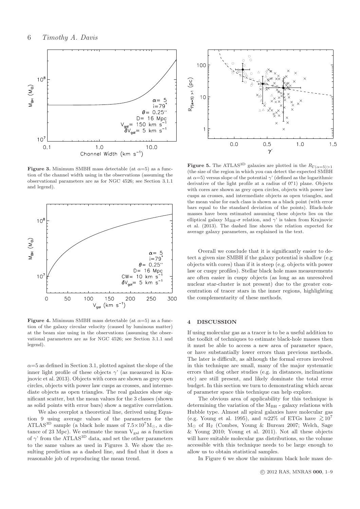

Figure 3. Minimum SMBH mass detectable (at  $\alpha=5$ ) as a function of the channel width using in the observations (assuming the observational parameters are as for NGC 4526; see Section 3.1.1 and legend).



Figure 4. Minimum SMBH mass detectable (at  $\alpha=5$ ) as a function of the galaxy circular velocity (caused by luminous matter) at the beam size using in the observations (assuming the observational parameters are as for NGC 4526; see Section 3.1.1 and legend).

 $\alpha=5$  as defined in Section 3.1, plotted against the slope of the inner light profile of these objects  $\gamma'$  (as measured in Krajnovic et al. 2013). Objects with cores are shown as grey open circles, objects with power law cusps as crosses, and intermediate objects as open triangles. The real galaxies show significant scatter, but the mean values for the 3 classes (shown as solid points with error bars) show a negative correlation.

We also overplot a theoretical line, derived using Equation 9 using average values of the parameters for the ATLAS<sup>3D</sup> sample (a black hole mass of  $7.5\times10^7$ M<sub>☉</sub>, a distance of 23 Mpc). We estimate the mean  $V_{gal}$  as a function of  $\gamma$ ' from the ATLAS<sup>3D</sup> data, and set the other parameters to the same values as used in Figures 3. We show the resulting prediction as a dashed line, and find that it does a reasonable job of reproducing the mean trend.



**Figure 5.** The ATLAS<sup>3D</sup> galaxies are plotted in the  $R_{\Gamma(\alpha=5)>1}$ (the size of the region in which you can detect the expected SMBH at  $\alpha=5$ ) versus slope of the potential  $\gamma'$  (defined as the logarithmic derivative of the light profile at a radius of  $0''$ 1) plane. Objects with cores are shown as grey open circles, objects with power law cusps as crosses, and intermediate objects as open triangles, and the mean value for each class is shown as a black point (with error bars equal to the standard deviation of the points). Black-hole masses have been estimated assuming these objects lies on the elliptical galaxy  $M_{BH}$ -σ relation, and  $\gamma'$  is taken from Krajnovic et al. (2013). The dashed line shows the relation expected for average galaxy parameters, as explained in the text.

Overall we conclude that it is significantly easier to detect a given size SMBH if the galaxy potential is shallow (e.g objects with cores) than if it is steep (e.g. objects with power law or cuspy profiles). Stellar black hole mass measurements are often easier in cuspy objects (as long as an unresolved nuclear star-cluster is not present) due to the greater concentration of tracer stars in the inner regions, highlighting the complementarity of these methods.

#### 4 DISCUSSION

If using molecular gas as a tracer is to be a useful addition to the toolkit of techniques to estimate black-hole masses then it must be able to access a new area of parameter space, or have substantially lower errors than previous methods. The later is difficult, as although the formal errors involved in this technique are small, many of the major systematic errors that dog other studies (e.g. in distances, inclinations etc) are still present, and likely dominate the total error budget. In this section we turn to demonstrating which areas of parameter space this technique can help explore.

The obvious area of applicability for this technique is determining the variation of the  $M<sub>BH</sub>$  - galaxy relations with Hubble type. Almost all spiral galaxies have molecular gas (e.g. Young et al. 1995), and ≈22% of ETGs have  $\gtrsim 10^7$  $M_{\odot}$  of H<sub>2</sub> (Combes, Young & Bureau 2007; Welch, Sage & Young 2010; Young et al. 2011). Not all these objects will have suitable molecular gas distributions, so the volume accessible with this technique needs to be large enough to allow us to obtain statistical samples.

In Figure 6 we show the minimum black hole mass de-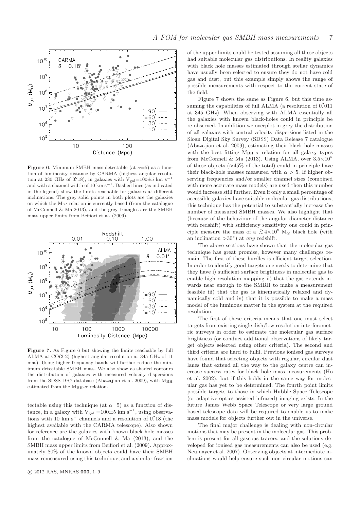

**Figure 6.** Minimum SMBH mass detectable (at  $\alpha=5$ ) as a function of luminosity distance by CARMA (highest angular resolution at 230 GHz of 0.  $\!\!$  0.  $\!\!$  18), in galaxies with V<sub>gal</sub>=100 $\pm$ 5 km s<sup>-1</sup> and with a channel width of 10 km s−<sup>1</sup> . Dashed lines (as indicated in the legend) show the limits reachable for galaxies at different inclinations. The grey solid points in both plots are the galaxies on which the  $M-\sigma$  relation is currently based (from the catalogue of McConnell & Ma 2013), and the grey triangles are the SMBH mass upper limits from Beifiori et al. (2009).



Figure 7. As Figure 6 but showing the limits reachable by full ALMA at CO(3-2) (highest angular resolution at 345 GHz of 11 mas). Using higher frequency bands will further reduce the minimum detectable SMBH mass. We also show as shaded contours the distribution of galaxies with measured velocity dispersions from the SDSS DR7 database (Abazajian et al. 2009), with  $M_{\rm BH}$ estimated from the  $M_{BH}$ - $\sigma$  relation.

tectable using this technique (at  $\alpha=5$ ) as a function of distance, in a galaxy with  $V_{gal} = 100 \pm 5$  km s<sup>-1</sup>, using observations with 10  $km s^{-1}$ channels and a resolution of 0".<sup>18</sup> (the highest available with the CARMA telescope). Also shown for reference are the galaxies with known black hole masses from the catalogue of McConnell  $\&$  Ma (2013), and the SMBH mass upper limits from Beifiori et al. (2009). Approximately 80% of the known objects could have their SMBH mass remeasured using this technique, and a similar fraction of the upper limits could be tested assuming all these objects had suitable molecular gas distributions. In reality galaxies with black hole masses estimated through stellar dynamics have usually been selected to ensure they do not have cold gas and dust, but this example simply shows the range of possible measurements with respect to the current state of the field.

Figure 7 shows the same as Figure 6, but this time assuming the capabilities of full ALMA (a resolution of 0.'011 at 345 GHz). When observing with ALMA essentially all the galaxies with known black-holes could in principle be re-observed. In addition we overplot in grey the distribution of all galaxies with central velocity dispersions listed in the Sloan Digital Sky Survey (SDSS) Data Release 7 catalogue (Abazajian et al. 2009), estimating their black hole masses with the best fitting  $M_{BH}$ - $\sigma$  relation for all galaxy types from McConnell & Ma (2013). Using ALMA, over  $3.5 \times 10^5$ of these objects ( $\approx 45\%$  of the total) could in principle have their black-hole masses measured with  $\alpha > 5$ . If higher observing frequencies and/or smaller channel sizes (combined with more accurate mass models) are used then this number would increase still further. Even if only a small percentage of accessible galaxies have suitable molecular gas distributions, this technique has the potential to substantially increase the number of measured SMBH masses. We also highlight that (because of the behaviour of the angular diameter distance with redshift) with sufficiency sensitivity one could in principle measure the mass of a  $\gtrsim 4 \times 10^8$  M<sub>☉</sub> black hole (with an inclination  $>30^{\circ}$ ) at any redshift.

The above sections have shown that the molecular gas technique has great promise, however many challenges remain. The first of these hurdles is efficient target selection. In order to identify good targets one needs to determine that they have i) sufficient surface brightness in molecular gas to enable high resolution mapping ii) that the gas extends inwards near enough to the SMBH to make a measurement feasible iii) that the gas is kinematically relaxed and dynamically cold and iv) that it is possible to make a mass model of the luminous matter in the system at the required resolution.

The first of these criteria means that one must select targets from existing single dish/low resolution interferometric surveys in order to estimate the molecular gas surface brightness (or conduct additional observations of likely target objects selected using other criteria). The second and third criteria are hard to fulfil. Previous ionised gas surveys have found that selecting objects with regular, circular dust lanes that extend all the way to the galaxy centre can increase success rates for black hole mass measurements (Ho et al. 2002), but if this holds in the same way for molecular gas has yet to be determined. The fourth point limits possible targets to those in which Hubble Space Telescope (or adaptive optics assisted infrared) imaging exists. In the future James Webb Space Telescope or very large ground based telescope data will be required to enable us to make mass models for objects further out in the universe.

The final major challenge is dealing with non-circular motions that may be present in the molecular gas. This problem is present for all gaseous tracers, and the solutions developed for ionised gas measurements can also be used (e.g. Neumayer et al. 2007). Observing objects at intermediate inclinations would help ensure such non-circular motions can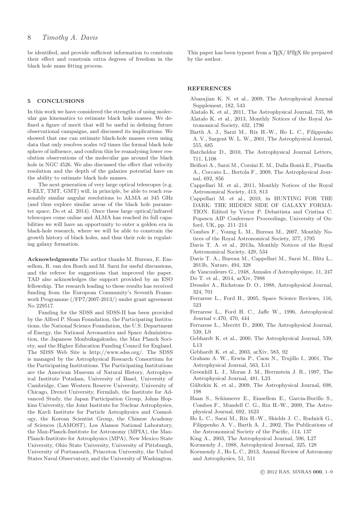be identified, and provide sufficient information to constrain their effect and constrain extra degrees of freedom in the black hole mass fitting process.

#### 5 CONCLUSIONS

In this work we have considered the strengths of using molecular gas kinematics to estimate black hole masses. We defined a figure of merit that will be useful in defining future observational campaigns, and discussed its implications. We showed that one can estimate black-hole masses even using data that only resolves scales  $\approx$ 2 times the formal black hole sphere of influence, and confirm this be reanalysing lower resolution observations of the molecular gas around the black hole in NGC 4526. We also discussed the effect that velocity resolution and the depth of the galaxies potential have on the ability to estimate black hole masses.

The next generation of very large optical telescopes (e.g. E-ELT, TMT, GMT) will, in principle, be able to reach reasonably similar angular resolutions to ALMA at 345 GHz (and thus explore similar areas of the black hole parameter space; Do et al. 2014). Once these large optical/infrared telescopes come online and ALMA has reached its full capabilities we will have an opportunity to enter a golden era in black-hole research, where we will be able to constrain the growth history of black holes, and thus their role in regulating galaxy formation.

Acknowledgments The author thanks M. Bureau, E. Emsellem, R. van den Bosch and M. Sarzi for useful discussions, and the referee for suggestions that improved the paper. TAD also acknowledges the support provided by an ESO fellowship. The research leading to these results has received funding from the European Community's Seventh Framework Programme (/FP7/2007-2013/) under grant agreement No 229517.

Funding for the SDSS and SDSS-II has been provided by the Alfred P. Sloan Foundation, the Participating Institutions, the National Science Foundation, the U.S. Department of Energy, the National Aeronautics and Space Administration, the Japanese Monbukagakusho, the Max Planck Society, and the Higher Education Funding Council for England. The SDSS Web Site is http://www.sdss.org/. The SDSS is managed by the Astrophysical Research Consortium for the Participating Institutions. The Participating Institutions are the American Museum of Natural History, Astrophysical Institute Potsdam, University of Basel, University of Cambridge, Case Western Reserve University, University of Chicago, Drexel University, Fermilab, the Institute for Advanced Study, the Japan Participation Group, Johns Hopkins University, the Joint Institute for Nuclear Astrophysics, the Kavli Institute for Particle Astrophysics and Cosmology, the Korean Scientist Group, the Chinese Academy of Sciences (LAMOST), Los Alamos National Laboratory, the Max-Planck-Institute for Astronomy (MPIA), the Max-Planck-Institute for Astrophysics (MPA), New Mexico State University, Ohio State University, University of Pittsburgh, University of Portsmouth, Princeton University, the United States Naval Observatory, and the University of Washington.

This paper has been typeset from a T<sub>EX</sub>/ L<sup>AT</sup>EX file prepared by the author.

#### **REFERENCES**

- Abazajian K. N. et al., 2009, The Astrophysical Journal Supplement, 182, 543
- Alatalo K. et al., 2011, The Astrophysical Journal, 735, 88 Alatalo K. et al., 2013, Monthly Notices of the Royal Astronomical Society, 432, 1796
- Barth A. J., Sarzi M., Rix H.-W., Ho L. C., Filippenko A. V., Sargent W. L. W., 2001, The Astrophysical Journal, 555, 685
- Batcheldor D., 2010, The Astrophysical Journal Letters, 711, L108
- Beifiori A., Sarzi M., Corsini E. M., Dalla Bontà E., Pizzella A., Coccato L., Bertola F., 2009, The Astrophysical Journal, 692, 856
- Cappellari M. et al., 2011, Monthly Notices of the Royal Astronomical Society, 413, 813
- Cappellari M. et al., 2010, in HUNTING FOR THE DARK: THE HIDDEN SIDE OF GALAXY FORMA-TION. Edited by Victor P. Debattista and Cristina C. Popescu AIP Conference Proceedings, University of Oxford, UK, pp. 211–214
- Combes F., Young L. M., Bureau M., 2007, Monthly Notices of the Royal Astronomical Society, 377, 1795
- Davis T. A. et al., 2013a, Monthly Notices of the Royal Astronomical Society, 429, 534
- Davis T. A., Bureau M., Cappellari M., Sarzi M., Blitz L., 2013b, Nature, 494, 328
- de Vaucouleurs G., 1948, Annales d'Astrophysique, 11, 247 Do T. et al., 2014, arXiv, 7988
- Dressler A., Richstone D. O., 1988, Astrophysical Journal, 324, 701
- Ferrarese L., Ford H., 2005, Space Science Reviews, 116, 523
- Ferrarese L., Ford H. C., Jaffe W., 1996, Astrophysical Journal v.470, 470, 444
- Ferrarese L., Merritt D., 2000, The Astrophysical Journal, 539, L9
- Gebhardt K. et al., 2000, The Astrophysical Journal, 539, L13
- Gebhardt K. et al., 2003, arXiv, 583, 92
- Graham A. W., Erwin P., Caon N., Trujillo I., 2001, The Astrophysical Journal, 563, L11
- Greenhill L. J., Moran J. M., Herrnstein J. R., 1997, The Astrophysical Journal, 481, L23
- Gültekin K. et al., 2009, The Astrophysical Journal, 698, 198
- Haan S., Schinnerer E., Emsellem E., Garcia-Burillo S., Combes F., Mundell C. G., Rix H.-W., 2009, The Astrophysical Journal, 692, 1623
- Ho L. C., Sarzi M., Rix H.-W., Shields J. C., Rudnick G., Filippenko A. V., Barth A. J., 2002, The Publications of the Astronomical Society of the Pacific, 114, 137
- King A., 2003, The Astrophysical Journal, 596, L27
- Kormendy J., 1988, Astrophysical Journal, 325, 128
- Kormendy J., Ho L. C., 2013, Annual Review of Astronomy and Astrophysics, 51, 511